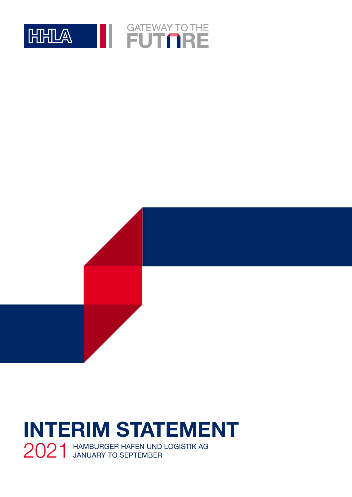

# **INTERIM STATEMENT** 2021 HAMBURGER HAFEN UND LOGISTIK AG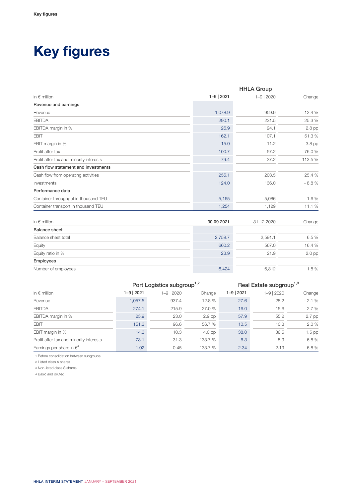## **Key figures**

|                                         | <b>HHLA Group</b> |                |          |  |
|-----------------------------------------|-------------------|----------------|----------|--|
| in $\epsilon$ million                   | $1 - 9$   2021    | $1 - 9$   2020 | Change   |  |
| Revenue and earnings                    |                   |                |          |  |
| Revenue                                 | 1,078.9           | 959.9          | 12.4 %   |  |
| <b>EBITDA</b>                           | 290.1             | 231.5          | 25.3 %   |  |
| EBITDA margin in %                      | 26.9              | 24.1           | 2.8 pp   |  |
| <b>EBIT</b>                             | 162.1             | 107.1          | 51.3%    |  |
| EBIT margin in %                        | 15.0              | 11.2           | 3.8 pp   |  |
| Profit after tax                        | 100.7             | 57.2           | 76.0 %   |  |
| Profit after tax and minority interests | 79.4              | 37.2           | 113.5 %  |  |
| Cash flow statement and investments     |                   |                |          |  |
| Cash flow from operating activities     | 255.1             | 203.5          | 25.4 %   |  |
| Investments                             | 124.0             | 136.0          | $-8.8%$  |  |
| Performance data                        |                   |                |          |  |
| Container throughput in thousand TEU    | 5,165             | 5,086          | 1.6%     |  |
| Container transport in thousand TEU     | 1,254             | 1,129          | 11.1 %   |  |
|                                         |                   |                |          |  |
| in $\epsilon$ million                   | 30.09.2021        | 31.12.2020     | Change   |  |
| <b>Balance sheet</b>                    |                   |                |          |  |
| Balance sheet total                     | 2,758.7           | 2,591.1        | 6.5 %    |  |
| Equity                                  | 660.2             | 567.0          | 16.4 %   |  |
| Equity ratio in %                       | 23.9              | 21.9           | $2.0$ pp |  |
| Employees                               |                   |                |          |  |
| Number of employees                     | 6,424             | 6,312          | 1.8%     |  |

|                                         | Port Logistics subgroup <sup>1,2</sup> |                |          |                | Real Estate subgroup <sup>1,3</sup> |          |
|-----------------------------------------|----------------------------------------|----------------|----------|----------------|-------------------------------------|----------|
| in $\epsilon$ million                   | $1 - 9$   2021                         | $1 - 9$   2020 | Change   | $1 - 9$   2021 | 1-9   2020                          | Change   |
| Revenue                                 | 1,057.5                                | 937.4          | 12.8 %   | 27.6           | 28.2                                | $-2.1%$  |
| <b>EBITDA</b>                           | 274.1                                  | 215.9          | 27.0 %   | 16.0           | 15.6                                | 2.7%     |
| EBITDA margin in %                      | 25.9                                   | 23.0           | $2.9$ pp | 57.9           | 55.2                                | 2.7 pp   |
| <b>EBIT</b>                             | 151.3                                  | 96.6           | 56.7 %   | 10.5           | 10.3                                | 2.0%     |
| EBIT margin in %                        | 14.3                                   | 10.3           | $4.0$ pp | 38.0           | 36.5                                | $1.5$ pp |
| Profit after tax and minority interests | 73.1                                   | 31.3           | 133.7 %  | 6.3            | 5.9                                 | 6.8%     |
| Earnings per share in $\epsilon^4$      | 1.02                                   | 0.45           | 133.7 %  | 2.34           | 2.19                                | 6.8%     |

1 Before consolidation between subgroups

2 Listed class A shares

3 Non-listed class S shares

4 Basic and diluted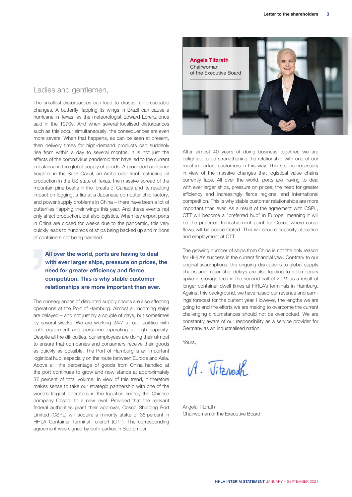Ladies and gentlemen.

The smallest disturbances can lead to drastic, unforeseeable changes. A butterfly flapping its wings in Brazil can cause a hurricane in Texas, as the meteorologist Edward Lorenz once said in the 1970s. And when several localised disturbances such as this occur simultaneously, the consequences are even more severe. When that happens, as can be seen at present, then delivery times for high-demand products can suddenly rise from within a day to several months. It is not just the effects of the coronavirus pandemic that have led to the current imbalance in the global supply of goods. A grounded container freighter in the Suez Canal, an Arctic cold front restricting oil production in the US state of Texas, the massive spread of the mountain pine beetle in the forests of Canada and its resulting impact on logging, a fire at a Japanese computer chip factory, and power supply problems in China – there have been a lot of butterflies flapping their wings this year. And these events not only affect production, but also logistics. When key export ports in China are closed for weeks due to the pandemic, this very quickly leads to hundreds of ships being backed up and millions of containers not being handled.

**All over the world, ports are having to deal with ever larger ships, pressure on prices, the need for greater efficiency and fierce competition. This is why stable customer relationships are more important than ever.**

The consequences of disrupted supply chains are also affecting operations at the Port of Hamburg. Almost all incoming ships are delayed – and not just by a couple of days, but sometimes by several weeks. We are working 24/7 at our facilities with both equipment and personnel operating at high capacity. Despite all the difficulties, our employees are doing their utmost to ensure that companies and consumers receive their goods as quickly as possible. The Port of Hamburg is an important logistical hub, especially on the route between Europe and Asia. Above all, the percentage of goods from China handled at the port continues to grow and now stands at approximately 37 percent of total volume. In view of this trend, it therefore makes sense to take our strategic partnership with one of the world's largest operators in the logistics sector, the Chinese company Cosco, to a new level. Provided that the relevant federal authorities grant their approval, Cosco Shipping Port Limited (CSPL) will acquire a minority stake of 35 percent in HHLA Container Terminal Tollerort (CTT). The corresponding agreement was signed by both parties in September.



After almost 40 years of doing business together, we are delighted to be strengthening the relationship with one of our most important customers in this way. This step is necessary in view of the massive changes that logistical value chains currently face. All over the world, ports are having to deal with ever larger ships, pressure on prices, the need for greater efficiency and increasingly fierce regional and international competition. This is why stable customer relationships are more important than ever. As a result of the agreement with CSPL, CTT will become a "preferred hub" in Europe, meaning it will be the preferred transshipment point for Cosco where cargo flows will be concentrated. This will secure capacity utilisation and employment at CTT.

The growing number of ships from China is not the only reason for HHLA's success in the current financial year. Contrary to our original assumptions, the ongoing disruptions to global supply chains and major ship delays are also leading to a temporary spike in storage fees in the second half of 2021 as a result of longer container dwell times at HHLA's terminals in Hamburg. Against this background, we have raised our revenue and earnings forecast for the current year. However, the lengths we are going to and the efforts we are making to overcome the current challenging circumstances should not be overlooked. We are constantly aware of our responsibility as a service provider for Germany as an industrialised nation.

Yours.

 $A.$   $Jit$   $ab$ 

Angela Titzrath Chairwoman of the Executive Board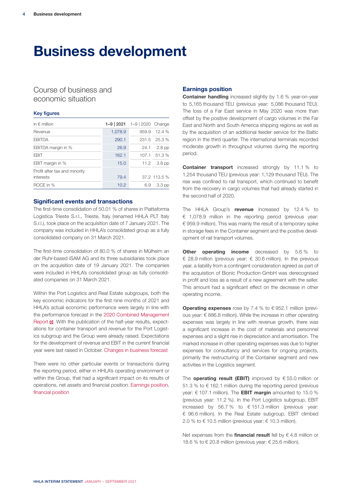## **Business development**

## Course of business and economic situation

#### Key figures

| in $\epsilon$ million         | 1-9   2021 $1-9$   2020  Change |       |                   |
|-------------------------------|---------------------------------|-------|-------------------|
| Revenue                       | 1,078.9                         | 959.9 | 12.4%             |
| <b>FBITDA</b>                 | 290.1                           |       | 231.5 25.3 %      |
| EBITDA margin in %            | 26.9                            | 24.1  | $2.8$ pp          |
| <b>FRIT</b>                   | 162.1                           | 107.1 | -51.3 %           |
| EBIT margin in %              | 15.0                            | 11.2  | 3.8 <sub>pp</sub> |
| Profit after tax and minority |                                 |       |                   |
| interests                     | 79.4                            |       | 37.2 113.5 %      |
| ROCE in %                     | 10.2                            | 6.9   | 3.3 <sub>pp</sub> |

#### **Significant events and transactions**

The first-time consolidation of 50.01 % of shares in Piattaforma Logistica Trieste S.r.l., Trieste, Italy (renamed HHLA PLT Italy S.r.l.), took place on the acquisition date of 7 January 2021. The company was included in HHLA's consolidated group as a fully consolidated company on 31 March 2021.

The first-time consolidation of 80.0 % of shares in Mülheim an der Ruhr-based iSAM AG and its three subsidiaries took place on the acquisition date of 19 January 2021. The companies were included in HHLA's consolidated group as fully consolidated companies on 31 March 2021.

Within the Port Logistics and Real Estate subgroups, both the key economic indicators for the first nine months of 2021 and HHLA's actual economic performance were largely in line with the performance forecast in the [2020 Combined Management](https://report.hhla.de/annual-report-2020/management-report) [Report](https://report.hhla.de/annual-report-2020/management-report) **E**. With the publication of the half-year results, expectations for container transport and revenue for the Port Logistics subgroup and the Group were already raised. Expectations for the development of revenue and EBIT in the current financial year were last raised in October. Changes in business forecast

There were no other particular events or transactions during the reporting period, either in HHLA's operating environment or within the Group, that had a significant impact on its results of operations, net assets and financial position. Earnings position, financial position

#### **Earnings position**

**Container handling** increased slightly by 1.6 % year-on-year to 5,165 thousand TEU (previous year: 5,086 thousand TEU). The loss of a Far East service in May 2020 was more than offset by the positive development of cargo volumes in the Far East and North and South America shipping regions as well as by the acquisition of an additional feeder service for the Baltic region in the third quarter. The international terminals recorded moderate growth in throughput volumes during the reporting period.

**Container transport** increased strongly by 11.1 % to 1,254 thousand TEU (previous year: 1,129 thousand TEU). The rise was confined to rail transport, which continued to benefit from the recovery in cargo volumes that had already started in the second half of 2020.

The HHLA Group's **revenue** increased by 12.4 % to € 1,078.9 million in the reporting period (previous year: € 959.9 million). This was mainly the result of a temporary spike in storage fees in the Container segment and the positive development of rail transport volumes.

**Other operating income** decreased by 5.6% to € 28.9 million (previous year: € 30.6 million). In the previous year, a liability from a contingent consideration agreed as part of the acquisition of Bionic Production GmbH was derecognised in profit and loss as a result of a new agreement with the seller. This amount had a significant effect on the decrease in other operating income.

**Operating expenses** rose by 7.4 % to € 952.1 million (previous year: € 886.8 million). While the increase in other operating expenses was largely in line with revenue growth, there was a significant increase in the cost of materials and personnel expenses and a slight rise in depreciation and amortisation. The marked increase in other operating expenses was due to higher expenses for consultancy and services for ongoing projects, primarily the restructuring of the Container segment and new activities in the Logistics segment.

The **operating result (EBIT)** improved by € 55.0 million or 51.3 % to € 162.1 million during the reporting period (previous year: € 107.1 million). The **EBIT margin** amounted to 15.0 % (previous year: 11.2 %). In the Port Logistics subgroup, EBIT increased by 56.7 % to  $\epsilon$  151.3 million (previous year: € 96.6 million). In the Real Estate subgroup, EBIT climbed 2.0 % to  $\epsilon$  10.5 million (previous year:  $\epsilon$  10.3 million).

Net expenses from the **financial result** fell by € 4.8 million or 18.6 % to  $\in$  20.8 million (previous year:  $\in$  25.6 million).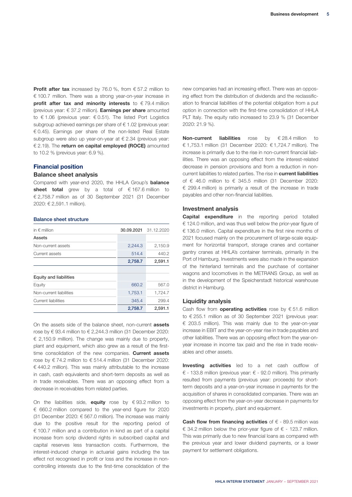**Profit after tax** increased by 76.0 %, from € 57.2 million to € 100.7 million. There was a strong year-on-year increase in **profit after tax and minority interests** to €79.4 million (previous year: € 37.2 million). **Earnings per share** amounted to € 1.06 (previous year: € 0.51). The listed Port Logistics subgroup achieved earnings per share of €1.02 (previous year: € 0.45). Earnings per share of the non-listed Real Estate subgroup were also up year-on-year at € 2.34 (previous year: € 2.19). The **return on capital employed (ROCE)** amounted to 10.2 % (previous year: 6.9 %).

#### **Financial position**

#### **Balance sheet analysis**

Compared with year-end 2020, the HHLA Group's **balance sheet total** grew by a total of € 167.6 million to € 2,758.7 million as of 30 September 2021 (31 December 2020: € 2,591.1 million).

#### Balance sheet structure

| in $\epsilon$ million         | 30.09.2021 | 31.12.2020 |
|-------------------------------|------------|------------|
| Assets                        |            |            |
| Non-current assets            | 2,244.3    | 2,150.9    |
| Current assets                | 514.4      | 440.2      |
|                               | 2,758.7    | 2,591.1    |
|                               |            |            |
| <b>Equity and liabilities</b> |            |            |
| Equity                        | 660.2      | 567.0      |
| Non-current liabilities       | 1,753.1    | 1,724.7    |
| <b>Current liabilities</b>    | 345.4      | 299.4      |
|                               | 2,758.7    | 2,591.1    |

On the assets side of the balance sheet, non-current **assets** rose by € 93.4 million to € 2,244.3 million (31 December 2020: € 2,150.9 million). The change was mainly due to property, plant and equipment, which also grew as a result of the firsttime consolidation of the new companies. **Current assets** rose by €74.2 million to €514.4 million (31 December 2020:  $\epsilon$  440.2 million). This was mainly attributable to the increase in cash, cash equivalents and short-term deposits as well as in trade receivables. There was an opposing effect from a decrease in receivables from related parties.

On the liabilities side, **equity** rose by € 93.2 million to € 660.2 million compared to the year-end figure for 2020 (31 December 2020: € 567.0 million). The increase was mainly due to the positive result for the reporting period of € 100.7 million and a contribution in kind as part of a capital increase from scrip dividend rights in subscribed capital and capital reserves less transaction costs. Furthermore, the interest-induced change in actuarial gains including the tax effect not recognised in profit or loss and the increase in noncontrolling interests due to the first-time consolidation of the

new companies had an increasing effect. There was an opposing effect from the distribution of dividends and the reclassification to financial liabilities of the potential obligation from a put option in connection with the first-time consolidation of HHLA PLT Italy. The equity ratio increased to 23.9 % (31 December 2020: 21.9 %).

**Non-current liabilities** rose by € 28.4 million to € 1,753.1 million (31 December 2020: € 1,724.7 million). The increase is primarily due to the rise in non-current financial liabilities. There was an opposing effect from the interest-related decrease in pension provisions and from a reduction in noncurrent liabilities to related parties. The rise in **current liabilities** of € 46.0 million to € 345.5 million (31 December 2020: € 299.4 million) is primarily a result of the increase in trade payables and other non-financial liabilities.

#### **Investment analysis**

**Capital expenditure** in the reporting period totalled € 124.0 million, and was thus well below the prior-year figure of € 136.0 million. Capital expenditure in the first nine months of 2021 focused mainly on the procurement of large-scale equipment for horizontal transport, storage cranes and container gantry cranes at HHLA's container terminals, primarily in the Port of Hamburg. Investments were also made in the expansion of the hinterland terminals and the purchase of container wagons and locomotives in the METRANS Group, as well as in the development of the Speicherstadt historical warehouse district in Hamburg.

#### **Liquidity analysis**

Cash flow from **operating activities** rose by € 51.6 million to € 255.1 million as of 30 September 2021 (previous year: € 203.5 million). This was mainly due to the year-on-year increase in EBIT and the year-on-year rise in trade payables and other liabilities. There was an opposing effect from the year-onyear increase in income tax paid and the rise in trade receivables and other assets.

**Investing activities** led to a net cash outflow of € - 133.8 million (previous year: € - 92.0 million). This primarily resulted from payments (previous year: proceeds) for shortterm deposits and a year-on-year increase in payments for the acquisition of shares in consolidated companies. There was an opposing effect from the year-on-year decrease in payments for investments in property, plant and equipment.

**Cash flow from financing activities** of € - 89.5 million was € 34.2 million below the prior-year figure of  $∈$  - 123.7 million. This was primarily due to new financial loans as compared with the previous year and lower dividend payments, or a lower payment for settlement obligations.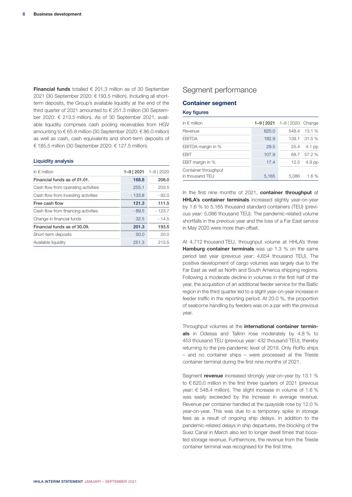**Financial funds** totalled € 201.3 million as of 30 September 2021 (30 September 2020: € 193.5 million). Including all shortterm deposits, the Group's available liquidity at the end of the third quarter of 2021 amounted to  $\epsilon$  251.3 million (30 September 2020: € 213.5 million). As of 30 September 2021, available liquidity comprises cash pooling receivables from HGV amounting to € 65.8 million (30 September 2020: € 86.0 million) as well as cash, cash equivalents and short-term deposits of € 185.5 million (30 September 2020: € 127.5 million).

#### Liquidity analysis

| in $\epsilon$ million               | $1 - 9$   2021 | $1 - 9$   2020 |
|-------------------------------------|----------------|----------------|
| Financial funds as of 01.01.        | 168.8          | 208.0          |
| Cash flow from operating activities | 255.1          | 203.5          |
| Cash flow from investing activities | $-133.8$       | $-92.0$        |
| Free cash flow                      | 121.3          | 111.5          |
| Cash flow from financing activities | $-89.5$        | $-123.7$       |
| Change in financial funds           | 32.5           | $-14.5$        |
| Financial funds as of 30.09.        | 201.3          | 193.5          |
| Short-term deposits                 | 50.0           | 20.0           |
| Available liquidity                 | 251.3          | 213.5          |

### Segment performance

#### **Container segment**

#### Key figures

| in $\epsilon$ million                   | 1-9   2021 $1-9$   2020  Change |       |          |
|-----------------------------------------|---------------------------------|-------|----------|
| Revenue                                 | 620.0                           | 548.4 | 13.1 %   |
| <b>EBITDA</b>                           | 182.9                           | 139.1 | 31.5%    |
| EBITDA margin in %                      | 29.5                            | 25.4  | $4.1$ pp |
| FBIT                                    | 107.9                           | 68.7  | 57.2 %   |
| EBIT margin in %                        | 17.4                            | 12.5  | $4.9$ pp |
| Container throughput<br>in thousand TEU | 5,165                           | 5.086 | 1.6%     |

In the first nine months of 2021, **container throughput** at **HHLA's container terminals** increased slightly year-on-year by 1.6 % to 5,165 thousand standard containers (TEU) (previous year: 5,086 thousand TEU). The pandemic-related volume shortfalls in the previous year and the loss of a Far East service in May 2020 were more than offset.

At 4,712 thousand TEU, throughput volume at HHLA's three **Hamburg container terminals** was up 1.3 % on the same period last year (previous year: 4,654 thousand TEU). The positive development of cargo volumes was largely due to the Far East as well as North and South America shipping regions. Following a moderate decline in volumes in the first half of the year, the acquisition of an additional feeder service for the Baltic region in the third quarter led to a slight year-on-year increase in feeder traffic in the reporting period. At 20.0 %, the proportion of seaborne handling by feeders was on a par with the previous year.

Throughput volumes at the **international container terminals** in Odessa and Tallinn rose moderately by 4.8 % to 453 thousand TEU (previous year: 432 thousand TEU), thereby returning to the pre-pandemic level of 2019. Only RoRo ships – and no container ships – were processed at the Trieste container terminal during the first nine months of 2021.

Segment **revenue** increased strongly year-on-year by 13.1 % to € 620.0 million in the first three quarters of 2021 (previous year: € 548.4 million). The slight increase in volume of 1.6 % was easily exceeded by the increase in average revenue. Revenue per container handled at the quayside rose by 12.0 % year-on-year. This was due to a temporary spike in storage fees as a result of ongoing ship delays. In addition to the pandemic-related delays in ship departures, the blocking of the Suez Canal in March also led to longer dwell times that boosted storage revenue. Furthermore, the revenue from the Trieste container terminal was recognised for the first time.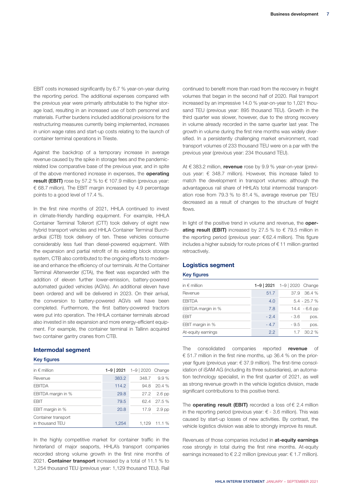EBIT costs increased significantly by 6.7 % year-on-year during the reporting period. The additional expenses compared with the previous year were primarily attributable to the higher storage load, resulting in an increased use of both personnel and materials. Further burdens included additional provisions for the restructuring measures currently being implemented, increases in union wage rates and start-up costs relating to the launch of container terminal operations in Trieste.

Against the backdrop of a temporary increase in average revenue caused by the spike in storage fees and the pandemicrelated low comparative base of the previous year, and in spite of the above mentioned increase in expenses, the **operating result (EBIT)** rose by 57.2 % to  $\epsilon$  107.9 million (previous year:  $\epsilon$  68.7 million). The EBIT margin increased by 4.9 percentage points to a good level of 17.4 %.

In the first nine months of 2021, HHLA continued to invest in climate-friendly handling equipment. For example, HHLA Container Terminal Tollerort (CTT) took delivery of eight new hybrid transport vehicles and HHLA Container Terminal Burchardkai (CTB) took delivery of ten. These vehicles consume considerably less fuel than diesel-powered equipment. With the expansion and partial retrofit of its existing block storage system, CTB also contributed to the ongoing efforts to modernise and enhance the efficiency of our terminals. At the Container Terminal Altenwerder (CTA), the fleet was expanded with the addition of eleven further lower-emission, battery-powered automated guided vehicles (AGVs). An additional eleven have been ordered and will be delivered in 2023. On their arrival, the conversion to battery-powered AGVs will have been completed. Furthermore, the first battery-powered tractors were put into operation. The HHLA container terminals abroad also invested in site expansion and more energy-efficient equipment. For example, the container terminal in Tallinn acquired two container gantry cranes from CTB.

#### **Intermodal segment**

#### Key figures

| in $\epsilon$ million                  | 1-9   2021 $1-9$   2020  Change |       |                   |
|----------------------------------------|---------------------------------|-------|-------------------|
| Revenue                                | 383.2                           | 348.7 | 9.9%              |
| <b>FBITDA</b>                          | 114.2                           | 94.8  | -20.4 %           |
| EBITDA margin in %                     | 29.8                            | 27.2  | $2.6$ pp          |
| <b>FBIT</b>                            | 79.5                            | 62.4  | -27.5 %           |
| EBIT margin in %                       | 20.8                            | 17.9  | 2.9 <sub>pp</sub> |
| Container transport<br>in thousand TFU | 1,254                           | 1.129 | 11.1%             |

In the highly competitive market for container traffic in the hinterland of major seaports, HHLA's transport companies recorded strong volume growth in the first nine months of 2021. **Container transport** increased by a total of 11.1 % to 1,254 thousand TEU (previous year: 1,129 thousand TEU). Rail continued to benefit more than road from the recovery in freight volumes that began in the second half of 2020. Rail transport increased by an impressive 14.0 % year-on-year to 1,021 thousand TEU (previous year: 895 thousand TEU). Growth in the third quarter was slower, however, due to the strong recovery in volume already recorded in the same quarter last year. The growth in volume during the first nine months was widely diversified. In a persistently challenging market environment, road transport volumes of 233 thousand TEU were on a par with the previous year (previous year: 234 thousand TEU).

At € 383.2 million, **revenue** rose by 9.9 % year-on-year (previous year:  $\epsilon$  348.7 million). However, this increase failed to match the development in transport volumes: although the advantageous rail share of HHLA's total intermodal transportation rose from 79.3 % to 81.4 %, average revenue per TEU decreased as a result of changes to the structure of freight flows.

In light of the positive trend in volume and revenue, the **operating result (EBIT)** increased by 27.5 % to  $\epsilon$  79.5 million in the reporting period (previous year: € 62.4 million). This figure includes a higher subsidy for route prices of € 11 million granted retroactively.

#### **Logistics segment**

#### Key figures

| in $\epsilon$ million | 1-9   2021  1-9   2020  Change |        |                 |
|-----------------------|--------------------------------|--------|-----------------|
| Revenue               | 51.7                           |        | $37.9$ $36.4%$  |
| <b>FBITDA</b>         | 4.0                            |        | $5.4 - 25.7 %$  |
| EBITDA margin in %    | 7.8                            |        | $14.4 - 6.6$ pp |
| <b>EBIT</b>           | $-2.4$                         | $-3.6$ | pos.            |
| EBIT margin in %      | $-4.7$                         | $-9.5$ | pos.            |
| At-equity earnings    | 2.2                            | 1.7    | 30.2%           |

The consolidated companies reported **revenue** of € 51.7 million in the first nine months, up 36.4 % on the prioryear figure (previous year: € 37.9 million). The first-time consolidation of iSAM AG (including its three subsidiaries), an automation technology specialist, in the first quarter of 2021, as well as strong revenue growth in the vehicle logistics division, made significant contributions to this positive trend.

The **operating result (EBIT)** recorded a loss of  $\epsilon$  2.4 million in the reporting period (previous year:  $\epsilon$  - 3.6 million). This was caused by start-up losses of new activities. By contrast, the vehicle logistics division was able to strongly improve its result.

Revenues of those companies included in **at-equity earnings** rose strongly in total during the first nine months. At-equity earnings increased to  $\epsilon$  2.2 million (previous year:  $\epsilon$  1.7 million).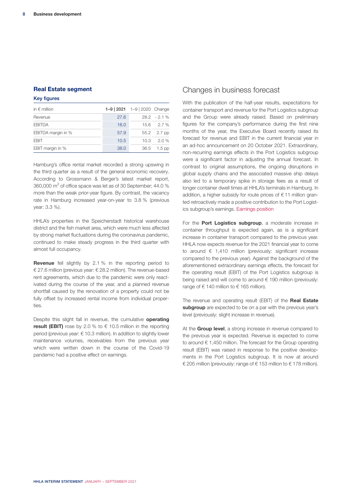#### **Real Estate segment**

#### Key figures

| in $\epsilon$ million | 1-9   2021  1-9   2020  Change |      |                |
|-----------------------|--------------------------------|------|----------------|
| Revenue               | 27.6                           |      | $28.2 - 2.1\%$ |
| <b>FBITDA</b>         | 16.0                           |      | $15.6$ $2.7\%$ |
| EBITDA margin in %    | 57.9                           |      | 55.2 2.7 pp    |
| <b>FBIT</b>           | 10.5                           |      | 10.3 2.0 %     |
| EBIT margin in %      | 38.0                           | 36.5 | $1.5$ pp       |

Hamburg's office rental market recorded a strong upswing in the third quarter as a result of the general economic recovery. According to Grossmann & Berger's latest market report, 360,000  $\text{m}^2$  of office space was let as of 30 September; 44.0 % more than the weak prior-year figure. By contrast, the vacancy rate in Hamburg increased year-on-year to 3.8 % (previous year: 3.3 %).

HHLA's properties in the Speicherstadt historical warehouse district and the fish market area, which were much less affected by strong market fluctuations during the coronavirus pandemic, continued to make steady progress in the third quarter with almost full occupancy.

**Revenue** fell slightly by 2.1 % in the reporting period to € 27.6 million (previous year: € 28.2 million). The revenue-based rent agreements, which due to the pandemic were only reactivated during the course of the year, and a planned revenue shortfall caused by the renovation of a property could not be fully offset by increased rental income from individual properties.

Despite this slight fall in revenue, the cumulative **operating result (EBIT)** rose by 2.0 % to  $\epsilon$  10.5 million in the reporting period (previous year: € 10.3 million). In addition to slightly lower maintenance volumes, receivables from the previous year which were written down in the course of the Covid-19 pandemic had a positive effect on earnings.

### Changes in business forecast

With the publication of the half-year results, expectations for container transport and revenue for the Port Logistics subgroup and the Group were already raised. Based on preliminary figures for the company's performance during the first nine months of the year, the Executive Board recently raised its forecast for revenue and EBIT in the current financial year in an ad-hoc announcement on 20 October 2021. Extraordinary, non-recurring earnings effects in the Port Logistics subgroup were a significant factor in adjusting the annual forecast. In contrast to original assumptions, the ongoing disruptions in global supply chains and the associated massive ship delays also led to a temporary spike in storage fees as a result of longer container dwell times at HHLA's terminals in Hamburg. In addition, a higher subsidy for route prices of  $\epsilon$  11 million granted retroactively made a positive contribution to the Port Logistics subgroup's earnings. Earnings position

For the **Port Logistics subgroup**, a moderate increase in container throughput is expected again, as is a significant increase in container transport compared to the previous year. HHLA now expects revenue for the 2021 financial year to come to around  $\epsilon$  1,410 million (previously: significant increase compared to the previous year). Against the background of the aforementioned extraordinary earnings effects, the forecast for the operating result (EBIT) of the Port Logistics subgroup is being raised and will come to around € 190 million (previously: range of  $\epsilon$  140 million to  $\epsilon$  165 million).

The revenue and operating result (EBIT) of the **Real Estate subgroup** are expected to be on a par with the previous year's level (previously: slight increase in revenue).

At the **Group level**, a strong increase in revenue compared to the previous year is expected. Revenue is expected to come to around € 1,450 million. The forecast for the Group operating result (EBIT) was raised in response to the positive developments in the Port Logistics subgroup. It is now at around € 205 million (previously: range of € 153 million to € 178 million).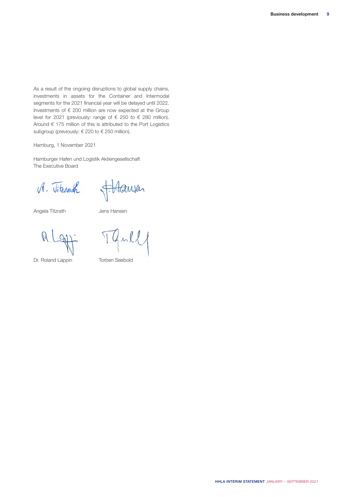As a result of the ongoing disruptions to global supply chains, investments in assets for the Container and Intermodal segments for the 2021 financial year will be delayed until 2022. Investments of  $\epsilon$  200 million are now expected at the Group level for 2021 (previously: range of  $\epsilon$  250 to  $\epsilon$  280 million). Around € 175 million of this is attributed to the Port Logistics subgroup (previously:  $\in$  220 to  $\in$  250 million).

Hamburg, 1 November 2021

Hamburger Hafen und Logistik Aktiengesellschaft The Executive Board

A. Vitenouth

F. Hansen

Angela Titzrath Jens Hansen

 $\mathbb{R}$ 

Dr. Roland Lappin Torben Seebold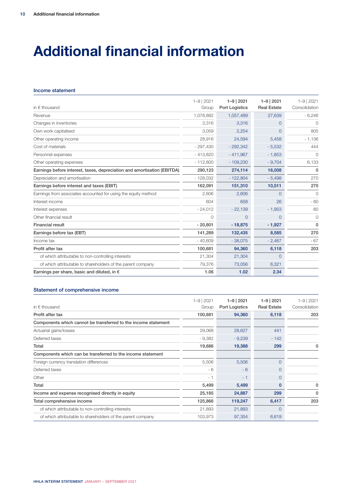## **Additional financial information**

#### Income statement

| in $\epsilon$ thousand                                                  | $1 - 9$   2021<br>Group | $1 - 9$   2021<br>Port Logistics | $1 - 9$   2021<br><b>Real Estate</b> | $1 - 9$   2021<br>Consolidation |
|-------------------------------------------------------------------------|-------------------------|----------------------------------|--------------------------------------|---------------------------------|
| Revenue                                                                 | 1,078,882               | 1,057,489                        | 27,639                               | $-6,246$                        |
| Changes in inventories                                                  | 3,316                   | 3,316                            | $\Omega$                             | $\Omega$                        |
| Own work capitalised                                                    | 3,059                   | 2,254                            | $\Omega$                             | 805                             |
| Other operating income                                                  | 28,916                  | 24,594                           | 5,458                                | $-1,136$                        |
| Cost of materials                                                       | $-297,430$              | $-292,342$                       | $-5,532$                             | 444                             |
| Personnel expenses                                                      | $-413,820$              | $-411,967$                       | $-1,853$                             | $\bigcirc$                      |
| Other operating expenses                                                | $-112,800$              | $-109,230$                       | $-9,704$                             | 6,133                           |
| Earnings before interest, taxes, depreciation and amortisation (EBITDA) | 290,123                 | 274,114                          | 16,008                               | $\mathbf{0}$                    |
| Depreciation and amortisation                                           | $-128,032$              | $-122,804$                       | $-5,498$                             | 270                             |
| Earnings before interest and taxes (EBIT)                               | 162,091                 | 151,310                          | 10,511                               | 270                             |
| Earnings from associates accounted for using the equity method          | 2,606                   | 2,606                            | $\Omega$                             | 0                               |
| Interest income                                                         | 604                     | 658                              | 26                                   | $-80$                           |
| Interest expenses                                                       | $-24,012$               | $-22,139$                        | $-1,953$                             | 80                              |
| Other financial result                                                  | $\Omega$                | 0                                | $\Omega$                             | $\circ$                         |
| <b>Financial result</b>                                                 | $-20,801$               | $-18,875$                        | $-1,927$                             | $\mathbf{0}$                    |
| Earnings before tax (EBT)                                               | 141,289                 | 132,435                          | 8,585                                | 270                             |
| Income tax                                                              | $-40,609$               | $-38,075$                        | $-2,467$                             | $-67$                           |
| Profit after tax                                                        | 100,681                 | 94,360                           | 6,118                                | 203                             |
| of which attributable to non-controlling interests                      | 21,304                  | 21,304                           | $\Omega$                             |                                 |
| of which attributable to shareholders of the parent company             | 79,376                  | 73,056                           | 6,321                                |                                 |
| Earnings per share, basic and diluted, in $\epsilon$                    | 1.06                    | 1.02                             | 2.34                                 |                                 |

| in $\epsilon$ thousand                                         | $1 - 9$   2021<br>Group | $1 - 9$   2021<br>Port Logistics | $1 - 9$   2021<br><b>Real Estate</b> | $1 - 9$   2021<br>Consolidation |
|----------------------------------------------------------------|-------------------------|----------------------------------|--------------------------------------|---------------------------------|
|                                                                |                         |                                  |                                      | 203                             |
| Profit after tax                                               | 100,681                 | 94,360                           | 6,118                                |                                 |
| Components which cannot be transferred to the income statement |                         |                                  |                                      |                                 |
| Actuarial gains/losses                                         | 29,068                  | 28,627                           | 441                                  |                                 |
| Deferred taxes                                                 | $-9,382$                | $-9,239$                         | $-142$                               |                                 |
| Total                                                          | 19,686                  | 19,388                           | 299                                  |                                 |
| Components which can be transferred to the income statement    |                         |                                  |                                      |                                 |
| Foreign currency translation differences                       | 5,506                   | 5,506                            | $\Omega$                             |                                 |
| Deferred taxes                                                 | - 6                     | $-6$                             | $\Omega$                             |                                 |
| Other                                                          | $-1$                    | $-1$                             | $\Omega$                             |                                 |
| Total                                                          | 5,499                   | 5,499                            | $\mathbf 0$                          | 0                               |
| Income and expense recognised directly in equity               | 25,185                  | 24,887                           | 299                                  | 0                               |
| Total comprehensive income                                     | 125,866                 | 119,247                          | 6,417                                | 203                             |
| of which attributable to non-controlling interests             | 21,893                  | 21,893                           | $\Omega$                             |                                 |
| of which attributable to shareholders of the parent company    | 103,973                 | 97,354                           | 6,619                                |                                 |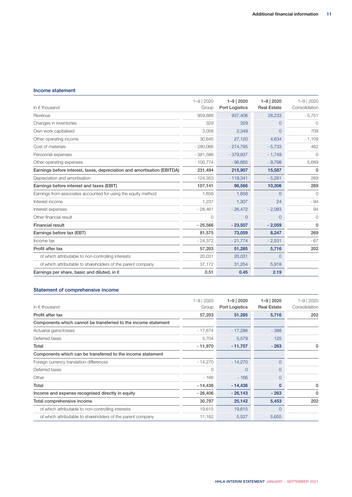#### Income statement

| in $\epsilon$ thousand                                                  | $1 - 9$   2020<br>Group | $1 - 9$   2020<br><b>Port Logistics</b> | $1 - 9$   2020<br><b>Real Estate</b> | $1 - 9$   2020<br>Consolidation |
|-------------------------------------------------------------------------|-------------------------|-----------------------------------------|--------------------------------------|---------------------------------|
| Revenue                                                                 | 959,888                 | 937,406                                 | 28,233                               | $-5,751$                        |
| Changes in inventories                                                  | 329                     | 329                                     | $\Omega$                             | $\cap$                          |
| Own work capitalised                                                    | 3,058                   | 2,349                                   | $\Omega$                             | 709                             |
| Other operating income                                                  | 30,645                  | 27,120                                  | 4,634                                | $-1,109$                        |
| Cost of materials                                                       | $-280,066$              | $-274,795$                              | $-5,733$                             | 462                             |
| Personnel expenses                                                      | $-381,586$              | $-379,837$                              | $-1,749$                             | $\bigcirc$                      |
| Other operating expenses                                                | $-100,774$              | $-96,665$                               | $-9,798$                             | 5,689                           |
| Earnings before interest, taxes, depreciation and amortisation (EBITDA) | 231,494                 | 215,907                                 | 15,587                               | 0                               |
| Depreciation and amortisation                                           | $-124,353$              | $-119,341$                              | $-5,281$                             | 269                             |
| Earnings before interest and taxes (EBIT)                               | 107,141                 | 96,566                                  | 10,306                               | 269                             |
| Earnings from associates accounted for using the equity method          | 1,658                   | 1,658                                   | $\Omega$                             | $\Omega$                        |
| Interest income                                                         | 1,237                   | 1,307                                   | 24                                   | $-94$                           |
| Interest expenses                                                       | $-28,461$               | $-26,472$                               | $-2,083$                             | 94                              |
| Other financial result                                                  | $\Omega$                | $\Omega$                                | $\Omega$                             | $\circ$                         |
| <b>Financial result</b>                                                 | $-25,566$               | $-23,507$                               | $-2,059$                             | 0                               |
| Earnings before tax (EBT)                                               | 81,575                  | 73,059                                  | 8,247                                | 269                             |
| Income tax                                                              | $-24,372$               | $-21,774$                               | $-2,531$                             | $-67$                           |
| Profit after tax                                                        | 57,203                  | 51,285                                  | 5,716                                | 202                             |
| of which attributable to non-controlling interests                      | 20,031                  | 20,031                                  | $\Omega$                             |                                 |
| of which attributable to shareholders of the parent company             | 37,172                  | 31,254                                  | 5,918                                |                                 |
| Earnings per share, basic and diluted, in $\epsilon$                    | 0.51                    | 0.45                                    | 2.19                                 |                                 |

| in $\epsilon$ thousand                                         | $1 - 9$   2020<br>Group | $1 - 9$   2020<br>Port Logistics | $1 - 9$   2020<br><b>Real Estate</b> | $1 - 9$   2020<br>Consolidation |
|----------------------------------------------------------------|-------------------------|----------------------------------|--------------------------------------|---------------------------------|
| Profit after tax                                               | 57,203                  | 51,285                           | 5,716                                | 202                             |
| Components which cannot be transferred to the income statement |                         |                                  |                                      |                                 |
| Actuarial gains/losses                                         | $-17,674$               | $-17,286$                        | $-388$                               |                                 |
| Deferred taxes                                                 | 5,704                   | 5,579                            | 125                                  |                                 |
| Total                                                          | $-11,970$               | $-11,707$                        | $-263$                               |                                 |
| Components which can be transferred to the income statement    |                         |                                  |                                      |                                 |
| Foreign currency translation differences                       | $-14,270$               | $-14,270$                        | $\Omega$                             |                                 |
| Deferred taxes                                                 | $\bigcap$               | 0                                | $\Omega$                             |                                 |
| Other                                                          | $-166$                  | $-166$                           | $\Omega$                             |                                 |
| Total                                                          | $-14,436$               | $-14,436$                        | $\Omega$                             | 0                               |
| Income and expense recognised directly in equity               | $-26,406$               | $-26,143$                        | $-263$                               |                                 |
| Total comprehensive income                                     | 30,797                  | 25,142                           | 5,453                                | 202                             |
| of which attributable to non-controlling interests             | 19,615                  | 19,615                           | $\Omega$                             |                                 |
| of which attributable to shareholders of the parent company    | 11,182                  | 5,527                            | 5,655                                |                                 |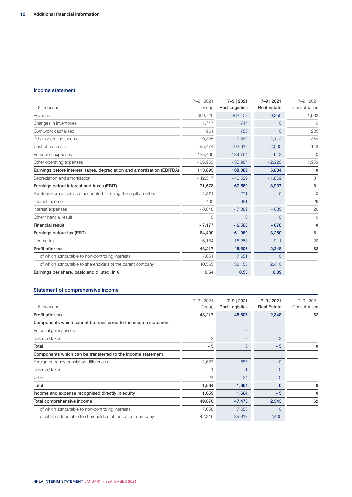#### Income statement

| in $\epsilon$ thousand                                                  | 7-9   2021<br>Group | 7-9   2021<br><b>Port Logistics</b> | 7-9   2021<br><b>Real Estate</b> | 7-9   2021<br>Consolidation |
|-------------------------------------------------------------------------|---------------------|-------------------------------------|----------------------------------|-----------------------------|
| Revenue                                                                 | 369,725             | 362,402                             | 9,255                            | $-1,932$                    |
| Changes in inventories                                                  | 1.747               | 1.747                               | 0                                | $\bigcirc$                  |
| Own work capitalised                                                    | 961                 | 756                                 | 0                                | 205                         |
| Other operating income                                                  | 9,325               | 7,582                               | 2,112                            | $-369$                      |
| Cost of materials                                                       | $-95,474$           | $-93,617$                           | $-2,000$                         | 143                         |
| Personnel expenses                                                      | $-135,436$          | $-134,794$                          | $-643$                           | 0                           |
| Other operating expenses                                                | $-36,953$           | $-35,987$                           | $-2,920$                         | 1,953                       |
| Earnings before interest, taxes, depreciation and amortisation (EBITDA) | 113,895             | 108,089                             | 5,804                            | 0                           |
| Depreciation and amortisation                                           | $-42,317$           | $-40,529$                           | $-1,869$                         | 81                          |
| Earnings before interest and taxes (EBIT)                               | 71,578              | 67,560                              | 3,937                            | 81                          |
| Earnings from associates accounted for using the equity method          | 1.271               | 1,271                               | $\overline{0}$                   | $\mathbf{0}$                |
| Interest income                                                         | $-400$              | $-381$                              |                                  | $-26$                       |
| Interest expenses                                                       | $-8,048$            | $-7,389$                            | $-685$                           | 26                          |
| Other financial result                                                  | $\Omega$            | $\Omega$                            | 0                                | $\mathbf{0}$                |
| <b>Financial result</b>                                                 | $-7,177$            | $-6,500$                            | $-678$                           | $\mathbf{0}$                |
| Earnings before tax (EBT)                                               | 64,400              | 61,060                              | 3,260                            | 81                          |
| Income tax                                                              | $-16,184$           | $-15,253$                           | $-911$                           | $-20$                       |
| Profit after tax                                                        | 48,217              | 45,806                              | 2,348                            | 62                          |
| of which attributable to non-controlling interests                      | 7,651               | 7,651                               | $\overline{0}$                   |                             |
| of which attributable to shareholders of the parent company             | 40,565              | 38,155                              | 2,410                            |                             |
| Earnings per share, basic and diluted, in $\epsilon$                    | 0.54                | 0.53                                | 0.89                             |                             |

|                                                                | 7-9   2021 | 7-9   2021     | 7-9   2021         | 7-9   2021    |
|----------------------------------------------------------------|------------|----------------|--------------------|---------------|
| in $\epsilon$ thousand                                         | Group      | Port Logistics | <b>Real Estate</b> | Consolidation |
| Profit after tax                                               | 48,217     | 45,806         | 2,348              | 62            |
| Components which cannot be transferred to the income statement |            |                |                    |               |
| Actuarial gains/losses                                         | $-7$       | $\Omega$       | $-7$               |               |
| Deferred taxes                                                 | 2          | $\Omega$       | $\overline{2}$     |               |
| Total                                                          | - 5        | 0              | $-5$               |               |
| Components which can be transferred to the income statement    |            |                |                    |               |
| Foreign currency translation differences                       | 1,687      | 1,687          | $\Omega$           |               |
| Deferred taxes                                                 |            |                | $\Omega$           |               |
| Other                                                          | $-24$      | $-24$          | $\Omega$           |               |
| Total                                                          | 1,664      | 1,664          | $\Omega$           | $\Omega$      |
| Income and expense recognised directly in equity               | 1,659      | 1,664          | $-5$               |               |
| Total comprehensive income                                     | 49,876     | 47,470         | 2,343              | 62            |
| of which attributable to non-controlling interests             | 7,658      | 7,658          | $\Omega$           |               |
| of which attributable to shareholders of the parent company    | 42,219     | 39,813         | 2,405              |               |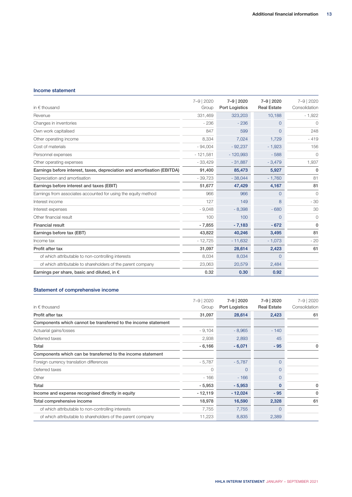#### Income statement

| in $\epsilon$ thousand                                                  | 7-9   2020<br>Group | 7-9   2020<br><b>Port Logistics</b> | 7-9 2020<br><b>Real Estate</b> | 7-9   2020<br>Consolidation |
|-------------------------------------------------------------------------|---------------------|-------------------------------------|--------------------------------|-----------------------------|
| Revenue                                                                 | 331,469             | 323,203                             | 10,188                         | $-1,922$                    |
| Changes in inventories                                                  | $-236$              | $-236$                              | $\Omega$                       | $\bigcirc$                  |
| Own work capitalised                                                    | 847                 | 599                                 | $\Omega$                       | 248                         |
| Other operating income                                                  | 8,334               | 7,024                               | 1,729                          | $-419$                      |
| Cost of materials                                                       | $-94,004$           | $-92,237$                           | $-1,923$                       | 156                         |
| Personnel expenses                                                      | $-121,581$          | $-120,993$                          | $-588$                         | $\bigcirc$                  |
| Other operating expenses                                                | $-33,429$           | $-31,887$                           | $-3,479$                       | 1,937                       |
| Earnings before interest, taxes, depreciation and amortisation (EBITDA) | 91,400              | 85,473                              | 5,927                          | 0                           |
| Depreciation and amortisation                                           | $-39,723$           | $-38,044$                           | $-1,760$                       | 81                          |
| Earnings before interest and taxes (EBIT)                               | 51,677              | 47,429                              | 4,167                          | 81                          |
| Earnings from associates accounted for using the equity method          | 966                 | 966                                 | $\Omega$                       | $\mathbf 0$                 |
| Interest income                                                         | 127                 | 149                                 | 8                              | $-30$                       |
| Interest expenses                                                       | $-9,048$            | $-8,398$                            | $-680$                         | 30                          |
| Other financial result                                                  | 100                 | 100                                 | $\Omega$                       | $\mathbf 0$                 |
| <b>Financial result</b>                                                 | $-7,855$            | $-7,183$                            | $-672$                         | 0                           |
| Earnings before tax (EBT)                                               | 43,822              | 40,246                              | 3,495                          | 81                          |
| Income tax                                                              | $-12,725$           | $-11,632$                           | $-1,073$                       | $-20$                       |
| Profit after tax                                                        | 31,097              | 28,614                              | 2,423                          | 61                          |
| of which attributable to non-controlling interests                      | 8,034               | 8,034                               | $\Omega$                       |                             |
| of which attributable to shareholders of the parent company             | 23,063              | 20,579                              | 2,484                          |                             |
| Earnings per share, basic and diluted, in $\epsilon$                    | 0.32                | 0.30                                | 0.92                           |                             |

| in $\epsilon$ thousand                                         | 7-9 2020<br>Group | 7-9   2020<br>Port Logistics | 7-9   2020<br><b>Real Estate</b> | 7-9   2020<br>Consolidation |
|----------------------------------------------------------------|-------------------|------------------------------|----------------------------------|-----------------------------|
| Profit after tax                                               | 31,097            | 28,614                       | 2,423                            | 61                          |
| Components which cannot be transferred to the income statement |                   |                              |                                  |                             |
| Actuarial gains/losses                                         | $-9,104$          | $-8,965$                     | $-140$                           |                             |
| Deferred taxes                                                 | 2,938             | 2,893                        | 45                               |                             |
| Total                                                          | $-6,166$          | $-6,071$                     | $-95$                            |                             |
| Components which can be transferred to the income statement    |                   |                              |                                  |                             |
| Foreign currency translation differences                       | $-5,787$          | $-5,787$                     | $\Omega$                         |                             |
| Deferred taxes                                                 | $\bigcap$         | $\Omega$                     | $\Omega$                         |                             |
| Other                                                          | $-166$            | $-166$                       | $\Omega$                         |                             |
| Total                                                          | $-5,953$          | $-5,953$                     | 0                                |                             |
| Income and expense recognised directly in equity               | $-12,119$         | $-12,024$                    | $-95$                            |                             |
| Total comprehensive income                                     | 18,978            | 16,590                       | 2,328                            | 61                          |
| of which attributable to non-controlling interests             | 7,755             | 7,755                        | $\Omega$                         |                             |
| of which attributable to shareholders of the parent company    | 11,223            | 8,835                        | 2,389                            |                             |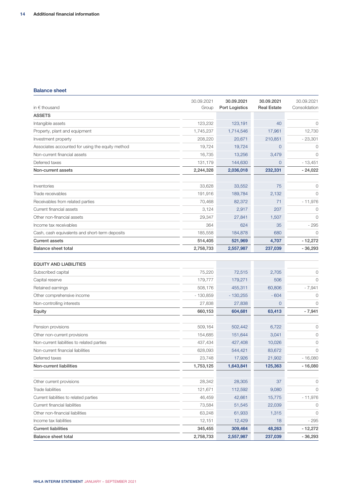#### Balance sheet

| <b>ASSETS</b><br>123,232<br>Intangible assets<br>123,191<br>40<br>Property, plant and equipment<br>1,745,237<br>1,714,546<br>17,961 | $\circ$<br>12,730<br>- 23,301<br>0 |
|-------------------------------------------------------------------------------------------------------------------------------------|------------------------------------|
|                                                                                                                                     |                                    |
|                                                                                                                                     |                                    |
|                                                                                                                                     |                                    |
| 210,851<br>Investment property<br>208,220<br>20,671                                                                                 |                                    |
| Associates accounted for using the equity method<br>19,724<br>19,724<br>$\mathbf 0$                                                 |                                    |
| Non-current financial assets<br>16,735<br>13,256<br>3,479                                                                           | $\mathbf 0$                        |
| Deferred taxes<br>131,179<br>144,630<br>$\overline{0}$                                                                              | $-13,451$                          |
| 2,244,328<br>2,036,018<br>232,331<br>Non-current assets                                                                             | $-24,022$                          |
|                                                                                                                                     |                                    |
| Inventories<br>33,628<br>33,552<br>75                                                                                               | 0                                  |
| 189,784<br>Trade receivables<br>191,916<br>2,132                                                                                    | $\mathbf 0$                        |
| Receivables from related parties<br>70,468<br>82,372<br>71                                                                          | $-11,976$                          |
| Current financial assets<br>2,917<br>207<br>3,124                                                                                   | $\circ$                            |
| Other non-financial assets<br>29,347<br>27,841<br>1,507                                                                             | $\overline{0}$                     |
| Income tax receivables<br>364<br>624<br>35                                                                                          | $-295$                             |
| Cash, cash equivalents and short-term deposits<br>185,558<br>184,878<br>680                                                         | $\mathbf 0$                        |
| <b>Current assets</b><br>4,707<br>514,405<br>521,969                                                                                | $-12,272$                          |
| 2,758,733<br>2,557,987<br>237,039<br>Balance sheet total                                                                            | $-36,293$                          |
|                                                                                                                                     |                                    |
| <b>EQUITY AND LIABILITIES</b>                                                                                                       |                                    |
| Subscribed capital<br>75,220<br>72,515<br>2,705                                                                                     | 0                                  |
| 179,777<br>179,271<br>506<br>Capital reserve                                                                                        | $\overline{0}$                     |
| 455,311<br>60,806<br>Retained earnings<br>508,176                                                                                   | $-7,941$                           |
| Other comprehensive income<br>$-130,859$<br>$-130,255$<br>$-604$                                                                    | 0                                  |
| Non-controlling interests<br>27,838<br>27,838<br>$\mathbf 0$                                                                        | $\Omega$                           |
| 660,153<br>604,681<br>63,413<br>Equity                                                                                              | $-7,941$                           |
| Pension provisions<br>509,164<br>502,442<br>6,722                                                                                   | 0                                  |
| 154,685<br>151,644<br>3,041<br>Other non-current provisions                                                                         | 0                                  |
| Non-current liabilities to related parties<br>437,434<br>427,408<br>10,026                                                          | 0                                  |
| Non-current financial liabilities<br>628,093<br>544,421<br>83,672                                                                   | $\overline{0}$                     |
| 23,748<br>17,926<br>21,902<br>Deferred taxes                                                                                        | $-16,080$                          |
| Non-current liabilities<br>1,753,125<br>1,643,841<br>125,363                                                                        | $-16,080$                          |
| Other current provisions<br>28,342<br>28,305<br>37                                                                                  | 0                                  |
| <b>Trade liabilities</b><br>121,671<br>112,592<br>9,080                                                                             | $\mathbf 0$                        |
| Current liabilities to related parties<br>42,661<br>15,775                                                                          | $-11,976$                          |
| 46,459<br>Current financial liabilities<br>73,584<br>51,545<br>22,039                                                               | 0                                  |
| 61,933<br>Other non-financial liabilities<br>63,248<br>1,315                                                                        | 0                                  |
| Income tax liabilities<br>12,151<br>12,429<br>18                                                                                    | $-295$                             |
| <b>Current liabilities</b><br>345,455<br>309,464<br>48,263                                                                          | $-12,272$                          |
| 2,758,733<br>237,039<br><b>Balance sheet total</b><br>2,557,987                                                                     | $-36,293$                          |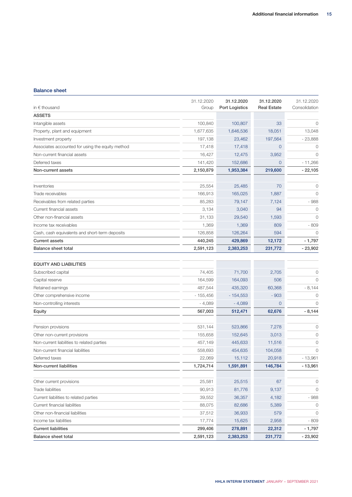#### Balance sheet

| in $\epsilon$ thousand                           | 31.12.2020<br>Group | 31.12.2020<br>Port Logistics | 31.12.2020<br><b>Real Estate</b> | 31.12.2020<br>Consolidation |
|--------------------------------------------------|---------------------|------------------------------|----------------------------------|-----------------------------|
| <b>ASSETS</b>                                    |                     |                              |                                  |                             |
| Intangible assets                                | 100,840             | 100,807                      | 33                               | $\mathbf 0$                 |
| Property, plant and equipment                    | 1,677,635           | 1,646,536                    | 18,051                           | 13,048                      |
| Investment property                              | 197,138             | 23,462                       | 197,564                          | $-23,888$                   |
| Associates accounted for using the equity method | 17,418              | 17,418                       | $\mathbf 0$                      | 0                           |
| Non-current financial assets                     | 16,427              | 12,475                       | 3,952                            | $\mathbf 0$                 |
| Deferred taxes                                   | 141,420             | 152,686                      | $\overline{0}$                   | $-11,266$                   |
| Non-current assets                               | 2,150,879           | 1,953,384                    | 219,600                          | $-22,105$                   |
|                                                  |                     |                              |                                  |                             |
| Inventories                                      | 25,554              | 25,485                       | 70                               | 0                           |
| Trade receivables                                | 166,913             | 165,025                      | 1,887                            | $\mathbf 0$                 |
| Receivables from related parties                 | 85,283              | 79,147                       | 7,124                            | $-988$                      |
| Current financial assets                         | 3,134               | 3,040                        | 94                               | $\mathbf 0$                 |
| Other non-financial assets                       | 31,133              | 29,540                       | 1,593                            | $\mathbf 0$                 |
| Income tax receivables                           | 1,369               | 1,369                        | 809                              | $-809$                      |
| Cash, cash equivalents and short-term deposits   | 126,858             | 126,264                      | 594                              | $\mathbf 0$                 |
| <b>Current assets</b>                            | 440,245             | 429,869                      | 12,172                           | $-1,797$                    |
| <b>Balance sheet total</b>                       | 2,591,123           | 2,383,253                    | 231,772                          | $-23,902$                   |
| <b>EQUITY AND LIABILITIES</b>                    |                     |                              |                                  |                             |
| Subscribed capital                               | 74,405              | 71,700                       | 2,705                            | $\circ$                     |
| Capital reserve                                  | 164,599             | 164,093                      | 506                              | $\circ$                     |
| Retained earnings                                | 487,544             | 435,320                      | 60,368                           | $-8,144$                    |
| Other comprehensive income                       | $-155,456$          | $-154,553$                   | $-903$                           | 0                           |
| Non-controlling interests                        | $-4,089$            | $-4,089$                     | $\mathbf 0$                      | $\mathbf 0$                 |
| Equity                                           | 567,003             | 512,471                      | 62,676                           | $-8,144$                    |
|                                                  |                     |                              |                                  |                             |
| Pension provisions                               | 531,144             | 523,866                      | 7,278                            | $\circ$                     |
| Other non-current provisions                     | 155,658             | 152,645                      | 3,013                            | 0                           |
| Non-current liabilities to related parties       | 457,149             | 445,633                      | 11,516                           | $\circ$                     |
| Non-current financial liabilities                | 558,693             | 454,635                      | 104,058                          | $\mathbf{0}$                |
| Deferred taxes                                   | 22,069              | 15,112                       | 20,918                           | $-13,961$                   |
| Non-current liabilities                          | 1,724,714           | 1,591,891                    | 146,784                          | $-13,961$                   |
| Other current provisions                         | 25,581              | 25,515                       | 67                               | $\circ$                     |
| Trade liabilities                                | 90,913              | 81,776                       | 9,137                            | $\circ$                     |
| Current liabilities to related parties           | 39,552              | 36,357                       | 4,182                            | $-988$                      |
| Current financial liabilities                    | 88,075              | 82,686                       | 5,389                            | $\circ$                     |
| Other non-financial liabilities                  | 37,512              | 36,933                       | 579                              | $\circ$                     |
| Income tax liabilities                           | 17,774              | 15,625                       | 2,958                            | $-809$                      |
| <b>Current liabilities</b>                       | 299,406             | 278,891                      | 22,312                           | $-1,797$                    |
| <b>Balance sheet total</b>                       | 2,591,123           | 2,383,253                    | 231,772                          | $-23,902$                   |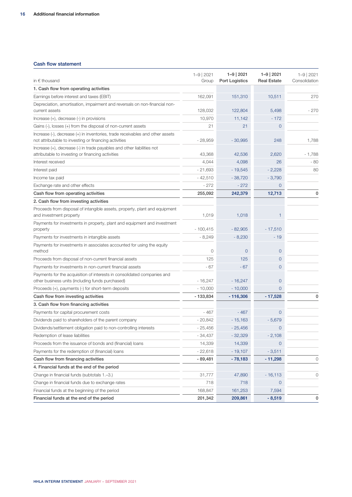#### Cash flow statement

| in $\epsilon$ thousand                                                                                                                 | $1 - 9$   2021<br>Group | $1 - 9$   2021<br><b>Port Logistics</b> | $1 - 9$   2021<br><b>Real Estate</b> | $1 - 9$   2021<br>Consolidation |
|----------------------------------------------------------------------------------------------------------------------------------------|-------------------------|-----------------------------------------|--------------------------------------|---------------------------------|
| 1. Cash flow from operating activities                                                                                                 |                         |                                         |                                      |                                 |
| Earnings before interest and taxes (EBIT)                                                                                              | 162,091                 | 151,310                                 | 10,511                               | 270                             |
| Depreciation, amortisation, impairment and reversals on non-financial non-<br>current assets                                           | 128,032                 | 122,804                                 | 5,498                                | - 270                           |
| Increase (+), decrease (-) in provisions                                                                                               | 10,970                  | 11,142                                  | $-172$                               |                                 |
| Gains (-), losses (+) from the disposal of non-current assets                                                                          | 21                      | 21                                      | $\overline{0}$                       |                                 |
| Increase (-), decrease (+) in inventories, trade receivables and other assets<br>not attributable to investing or financing activities | $-28,959$               | $-30,995$                               | 248                                  | 1,788                           |
| Increase (+), decrease (-) in trade payables and other liabilities not<br>attributable to investing or financing activities            | 43,368                  | 42,536                                  | 2,620                                | $-1,788$                        |
| Interest received                                                                                                                      | 4,044                   | 4,098                                   | 26                                   | $-80$                           |
| Interest paid                                                                                                                          | $-21,693$               | $-19,545$                               | $-2,228$                             | 80                              |
| Income tax paid                                                                                                                        | $-42,510$               | $-38,720$                               | $-3,790$                             |                                 |
| Exchange rate and other effects                                                                                                        | $-272$                  | $-272$                                  | 0                                    |                                 |
| Cash flow from operating activities                                                                                                    | 255,092                 | 242,379                                 | 12,713                               | 0                               |
| 2. Cash flow from investing activities                                                                                                 |                         |                                         |                                      |                                 |
| Proceeds from disposal of intangible assets, property, plant and equipment<br>and investment property                                  | 1,019                   | 1,018                                   | $\mathbf{1}$                         |                                 |
| Payments for investments in property, plant and equipment and investment<br>property                                                   | $-100,415$              | $-82,905$                               | $-17,510$                            |                                 |
| Payments for investments in intangible assets                                                                                          | $-8,249$                | $-8,230$                                | $-19$                                |                                 |
| Payments for investments in associates accounted for using the equity<br>method                                                        | $\circ$                 | $\overline{0}$                          | $\mathbf 0$                          |                                 |
| Proceeds from disposal of non-current financial assets                                                                                 | 125                     | 125                                     | $\overline{0}$                       |                                 |
| Payments for investments in non-current financial assets                                                                               | $-67$                   | $-67$                                   | $\overline{0}$                       |                                 |
| Payments for the acquisition of interests in consolidated companies and<br>other business units (including funds purchased)            | $-16,247$               | $-16,247$                               | $\overline{0}$                       |                                 |
| Proceeds (+), payments (-) for short-term deposits                                                                                     | $-10,000$               | $-10,000$                               | $\overline{0}$                       |                                 |
| Cash flow from investing activities                                                                                                    | $-133,834$              | $-116,306$                              | $-17,528$                            | 0                               |
| 3. Cash flow from financing activities                                                                                                 |                         |                                         |                                      |                                 |
| Payments for capital procurement costs                                                                                                 | $-467$                  | $-467$                                  | $\overline{0}$                       |                                 |
| Dividends paid to shareholders of the parent company                                                                                   | $-20,842$               | $-15,163$                               | $-5,679$                             |                                 |
| Dividends/settlement obligation paid to non-controlling interests                                                                      | $-25,456$               | $-25,456$                               | $\overline{0}$                       |                                 |
| Redemption of lease liabilities                                                                                                        | $-34,437$               | $-32,329$                               | $-2,108$                             |                                 |
| Proceeds from the issuance of bonds and (financial) loans                                                                              | 14,339                  | 14,339                                  | $\circ$                              |                                 |
| Payments for the redemption of (financial) loans                                                                                       | $-22,618$               | $-19,107$                               | $-3,511$                             |                                 |
| Cash flow from financing activities                                                                                                    | $-89,481$               | $-78,183$                               | $-11,298$                            | $\mathsf{O}\xspace$             |
| 4. Financial funds at the end of the period                                                                                            |                         |                                         |                                      |                                 |
| Change in financial funds (subtotals 1.-3.)                                                                                            | 31,777                  | 47,890                                  | $-16,113$                            | 0                               |
| Change in financial funds due to exchange rates                                                                                        | 718                     | 718                                     | $\overline{0}$                       |                                 |
| Financial funds at the beginning of the period                                                                                         | 168,847                 | 161,253                                 | 7,594                                |                                 |
| Financial funds at the end of the period                                                                                               | 201,342                 | 209,861                                 | $-8,519$                             | 0                               |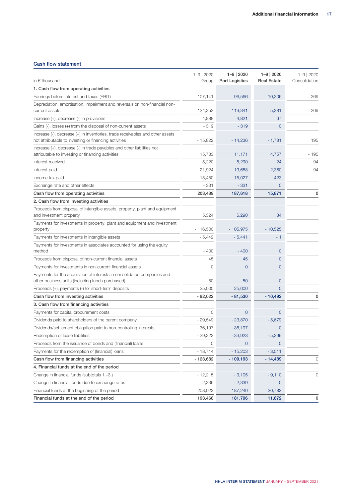#### Cash flow statement

| in $\epsilon$ thousand                                                                                                                 | $1 - 9$   2020<br>Group | $1 - 9$   2020<br>Port Logistics | $1 - 9$   2020<br><b>Real Estate</b> | $1 - 9$   2020<br>Consolidation |
|----------------------------------------------------------------------------------------------------------------------------------------|-------------------------|----------------------------------|--------------------------------------|---------------------------------|
| 1. Cash flow from operating activities                                                                                                 |                         |                                  |                                      |                                 |
| Earnings before interest and taxes (EBIT)                                                                                              | 107,141                 | 96,566                           | 10,306                               | 269                             |
| Depreciation, amortisation, impairment and reversals on non-financial non-<br>current assets                                           | 124,353                 | 119,341                          | 5,281                                | - 269                           |
| Increase (+), decrease (-) in provisions                                                                                               | 4,888                   | 4,821                            | 67                                   |                                 |
| Gains (-), losses (+) from the disposal of non-current assets                                                                          | $-319$                  | $-319$                           | $\mathbf 0$                          |                                 |
| Increase (-), decrease (+) in inventories, trade receivables and other assets<br>not attributable to investing or financing activities | $-15,822$               | $-14,236$                        | $-1,781$                             | 195                             |
| Increase (+), decrease (-) in trade payables and other liabilities not<br>attributable to investing or financing activities            | 15,733                  | 11,171                           | 4,757                                | - 195                           |
| Interest received                                                                                                                      | 5,220                   | 5,290                            | 24                                   | - 94                            |
| Interest paid                                                                                                                          | $-21,924$               | $-19,658$                        | $-2,360$                             | 94                              |
| Income tax paid                                                                                                                        | $-15,450$               | $-15,027$                        | $-423$                               |                                 |
| Exchange rate and other effects                                                                                                        | $-331$                  | $-331$                           | 0                                    |                                 |
| Cash flow from operating activities                                                                                                    | 203,489                 | 187,618                          | 15,871                               | 0                               |
| 2. Cash flow from investing activities                                                                                                 |                         |                                  |                                      |                                 |
| Proceeds from disposal of intangible assets, property, plant and equipment<br>and investment property                                  | 5,324                   | 5,290                            | 34                                   |                                 |
| Payments for investments in property, plant and equipment and investment<br>property                                                   | $-116.500$              | $-105,975$                       | $-10,525$                            |                                 |
| Payments for investments in intangible assets                                                                                          | $-5,442$                | $-5,441$                         | - 1                                  |                                 |
| Payments for investments in associates accounted for using the equity<br>method                                                        | $-400$                  | $-400$                           | $\overline{0}$                       |                                 |
| Proceeds from disposal of non-current financial assets                                                                                 | 45                      | 45                               | $\overline{O}$                       |                                 |
| Payments for investments in non-current financial assets                                                                               | $\circ$                 | $\mathbf 0$                      | 0                                    |                                 |
| Payments for the acquisition of interests in consolidated companies and<br>other business units (including funds purchased)            | - 50                    | $-50$                            | $\overline{0}$                       |                                 |
| Proceeds (+), payments (-) for short-term deposits                                                                                     | 25,000                  | 25,000                           | 0                                    |                                 |
| Cash flow from investing activities                                                                                                    | $-92,022$               | $-81,530$                        | $-10,492$                            | 0                               |
| 3. Cash flow from financing activities                                                                                                 |                         |                                  |                                      |                                 |
| Payments for capital procurement costs                                                                                                 | $\Omega$                | $\Omega$                         | $\overline{O}$                       |                                 |
| Dividends paid to shareholders of the parent company                                                                                   | $-29,549$               | $-23,870$                        | $-5,679$                             |                                 |
| Dividends/settlement obligation paid to non-controlling interests                                                                      | $-36,197$               | $-36,197$                        | $\overline{0}$                       |                                 |
| Redemption of lease liabilities                                                                                                        | $-39,222$               | $-33,923$                        | $-5,299$                             |                                 |
| Proceeds from the issuance of bonds and (financial) loans                                                                              | $\Omega$                | $\overline{O}$                   | $\Omega$                             |                                 |
| Payments for the redemption of (financial) loans                                                                                       | $-18,714$               | $-15,203$                        | $-3,511$                             |                                 |
| Cash flow from financing activities                                                                                                    | $-123,682$              | $-109,193$                       | $-14,489$                            | $\circ$                         |
| 4. Financial funds at the end of the period                                                                                            |                         |                                  |                                      |                                 |
| Change in financial funds (subtotals 1.-3.)                                                                                            | $-12,215$               | $-3,105$                         | $-9,110$                             | $\mathsf{O}$                    |
| Change in financial funds due to exchange rates                                                                                        | $-2,339$                | $-2,339$                         | $\overline{0}$                       |                                 |
| Financial funds at the beginning of the period                                                                                         | 208,022                 | 187,240                          | 20,782                               |                                 |
| Financial funds at the end of the period                                                                                               | 193,468                 | 181,796                          | 11,672                               | 0                               |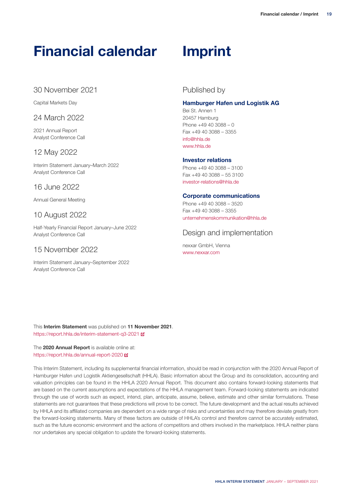## **Financial calendar**

## 30 November 2021

Capital Markets Day

### 24 March 2022

2021 Annual Report Analyst Conference Call

## 12 May 2022

Interim Statement January–March 2022 Analyst Conference Call

### 16 June 2022

Annual General Meeting

## 10 August 2022

Half-Yearly Financial Report January–June 2022 Analyst Conference Call

## 15 November 2022

Interim Statement January–September 2022 Analyst Conference Call

## **Imprint**

## Published by

#### **Hamburger Hafen und Logistik AG**

Bei St. Annen 1 20457 Hamburg Phone +49 40 3088 – 0 Fax +49 40 3088 – 3355 [info@hhla.de](mailto:info@hhla.de) [www.hhla.de](https://hhla.de/en/home.html)

#### **Investor relations**

Phone +49 40 3088 – 3100 Fax +49 40 3088 – 55 3100 [investor-relations@hhla.de](mailto:investor-relations@hhla.de)

#### **Corporate communications**

Phone +49 40 3088 – 3520 Fax +49 40 3088 – 3355 [unternehmenskommunikation@hhla.de](mailto:unternehmenskommunikation@hhla.de)

## Design and implementation

nexxar GmbH, Vienna [www.nexxar.com](http://www.nexxar.com/)

This **Interim Statement** was published on **11 November 2021**. <https://report.hhla.de/interim-statement-q3-2021>

The **2020 Annual Report** is available online at: <https://report.hhla.de/annual-report-2020>

This Interim Statement, including its supplemental financial information, should be read in conjunction with the 2020 Annual Report of Hamburger Hafen und Logistik Aktiengesellschaft (HHLA). Basic information about the Group and its consolidation, accounting and valuation principles can be found in the HHLA 2020 Annual Report. This document also contains forward-looking statements that are based on the current assumptions and expectations of the HHLA management team. Forward-looking statements are indicated through the use of words such as expect, intend, plan, anticipate, assume, believe, estimate and other similar formulations. These statements are not guarantees that these predictions will prove to be correct. The future development and the actual results achieved by HHLA and its affiliated companies are dependent on a wide range of risks and uncertainties and may therefore deviate greatly from the forward-looking statements. Many of these factors are outside of HHLA's control and therefore cannot be accurately estimated, such as the future economic environment and the actions of competitors and others involved in the marketplace. HHLA neither plans nor undertakes any special obligation to update the forward-looking statements.